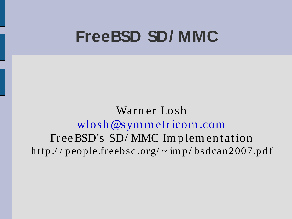#### **FreeBSD SD/ MMC**

Warn er Losh [wlosh@sym](mailto:wlosh@symmetricom.com) m etricom .com FreeBSD's SD/MMC Implementation http://people.freebsd.org/~imp/bsdcan2007.pdf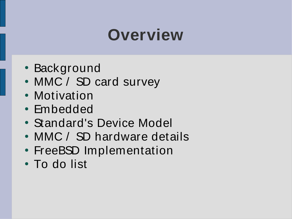# **Overview**

- Background
- MMC / SD card survey
- Motivation
- Embedded
- Standard's Device Model
- MMC / SD hardware details
- FreeBSD Implementation
- To do list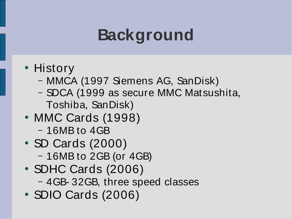# **Background**

- History
	- MMCA (1997 Siemens AG, SanDisk)
	- SDCA (1999 as secure MMC Matsushita, Toshiba, SanDisk)
- MMC Cards (1998) – 16MB to 4GB
- SD Cards (2000)
	- 16MB to 2GB (or 4GB)
- SDHC Cards (2006) – 4GB- 32GB, three speed classes
- SDIO Cards (2006)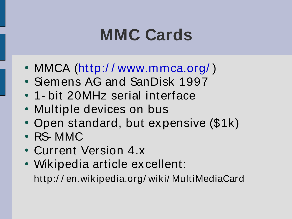## **MMC Cards**

- MMCA (http://[www.mmca.org/](http://www.mmca.org/))
- Siemens AG and SanDisk 1997
- 1- bit 20MHz serial interface
- Multiple devices on bus
- Open standard, but expensive (\$1k)
- RS-MMC
- Current Version 4.x
- Wikipedia article excellent: http:/ / en.wikipedia.org/ wiki/ MultiMediaCard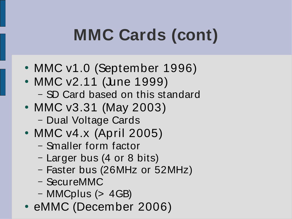# **MMC Cards (cont)**

- MMC v1.0 (September 1996)
- MMC v2.11 (June 1999)
	- SD Card based on this standard
- MMC v3.31 (May 2003)
	- Dual Voltage Cards
- MMC v4.x (April 2005)
	- Smaller form factor
	- Larger bus (4 or 8 bits)
	- Faster bus (26MHz or 52MHz)
	- SecureMMC
	- MMCplus (> 4GB)
- eMMC (December 2006)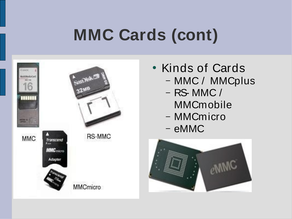# **MMC Cards (cont)**

| <b>MMC</b> | Transcend<br>I<br><b>MMC</b> micro<br>Adapta | <b>RS-MMC</b>   |
|------------|----------------------------------------------|-----------------|
|            |                                              | <b>MMCmicro</b> |

- Kinds of Cards – MMC / MMCplus
	- RS- MMC / MMCmobile
	- MMCmicro
	- eMMC

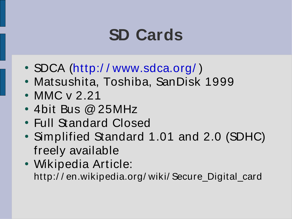# **SD Cards**

- SDCA (http://[www.sdca.org/](http://www.sdca.org/))
- Matsushita, Toshiba, SanDisk 1999
- MMC v 2.21
- $\cdot$  4bit Bus @ 25MHz
- Full Standard Closed
- Simplified Standard 1.01 and 2.0 (SDHC) freely available
- Wikipedia Article: http:/ / en.wikipedia.org/ wiki/ Secure\_Digital\_card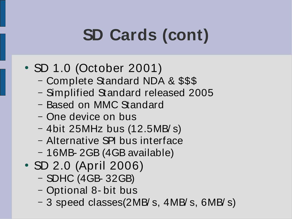# **SD Cards (cont)**

- SD 1.0 (October 2001)
	- Complete Standard NDA & \$\$\$
	- Simplified Standard released 2005
	- Based on MMC Standard
	- One device on bus
	- 4bit 25MHz bus (12.5MB/ s)
	- Alternative SPI bus interface
	- 16MB- 2GB (4GB available)
- SD 2.0 (April 2006)
	- SDHC (4GB- 32GB)
	- Optional 8- bit bus
	- 3 speed classes(2MB/ s, 4MB/ s, 6MB/ s)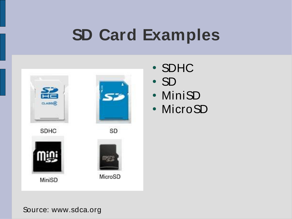# **SD Card Examples**



- SDHC
- SD
- MiniSD
- MicroSD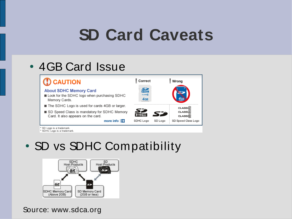## **SD Card Caveats**

#### • 4GB Card Issue

| $\mathbf D$ CAUTION                                                                           | Correct                        |         | Wrong                          |  |
|-----------------------------------------------------------------------------------------------|--------------------------------|---------|--------------------------------|--|
| <b>About SDHC Memory Card</b><br>Look for the SDHC logo when purchasing SDHC<br>Memory Cards. | 옮<br>0.400 <sub>8</sub><br>4GB |         |                                |  |
| The SDHC Logo is used for cards 4GB or larger.                                                |                                |         | CLASS(2)                       |  |
| SD Speed Class is mandatory for SDHC Memory<br>Card. It also appears on the card.             |                                | 53      | CLASS(4)<br>CLASS <sub>6</sub> |  |
| more info $\left  \right $                                                                    | SDHC Logo                      | SD Logo | SD Speed Class Logo            |  |

sD Logo is a trademark

\* SDHC Logo is a trademark.

#### • SD vs SDHC Compatibility

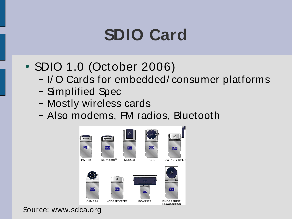## **SDIO Card**

- SDIO 1.0 (October 2006)
	- I/ O Cards for embedded/ consumer platforms
	- Simplified Spec
	- Mostly wireless cards
	- Also modems, FM radios, Bluetooth

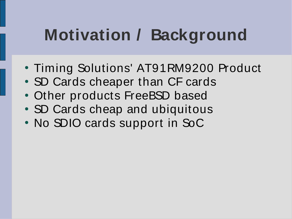# **Motivation / Background**

- Timing Solutions' AT91RM9200 Product
- SD Cards cheaper than CF cards
- Other products FreeBSD based
- SD Cards cheap and ubiquitous
- No SDIO cards support in SoC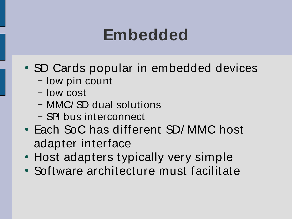### **Embedded**

- SD Cards popular in embedded devices
	- low pin count
	- low cost
	- MMC/ SD dual solutions
	- SPI bus interconnect
- Each SoC has different SD/MMC host adapter interface
- Host adapters typically very simple
- Software architecture must facilitate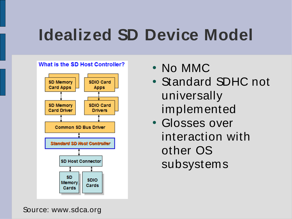# **Idealized SD Device Model**



- No MMC
- Standard SDHC not universally implemented
- Glosses over interaction with other OS subsystems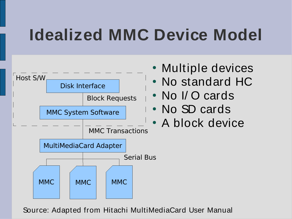# **Idealized MMC Device Model**



Source: Adapted from Hitachi MultiMediaCard User Manual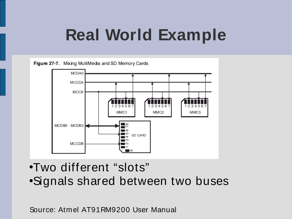# **Real World Example**



- ●Two different "slots"
- •Signals shared between two buses

Source: Atmel AT91RM9200 User Manual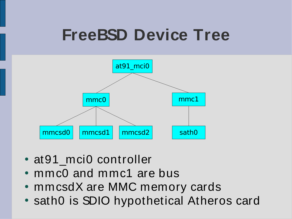# **FreeBSD Device Tree**



- at91 mci0 controller
- $\cdot$  mmc0 and mmc1 are bus
- mmcsdX are MMC memory cards
- sath0 is SDIO hypothetical Atheros card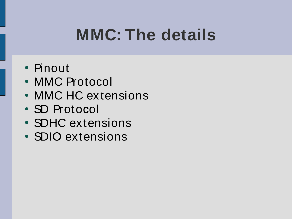# **MMC: The details**

- Pinout
- MMC Protocol
- MMC HC extensions
- SD Protocol
- SDHC extensions
- SDIO extensions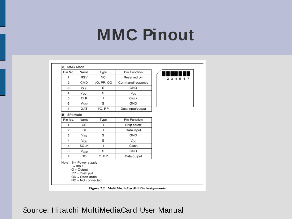#### **MMC Pinout**

| Pin No.        | Name                                                                                                                   | Type        | Pin Function      |             |
|----------------|------------------------------------------------------------------------------------------------------------------------|-------------|-------------------|-------------|
| 1.             | <b>RSV</b>                                                                                                             | NC          | Reserved pin      | 2 3 4 5 6 7 |
| 2              | CMD                                                                                                                    | I/O, PP, OD | Command/response  |             |
| з              | $V_{SS1}$                                                                                                              | s           | GND               |             |
| 4              | $V_{DD1}$                                                                                                              | S           | Vcc               |             |
| 5              | CLK                                                                                                                    | ı           | Clock             |             |
| 6              | Vssz                                                                                                                   | S           | GND               |             |
| $\overline{7}$ | <b>DAT</b>                                                                                                             | I/O, PP     | Data input/output |             |
| B) SPIMode     |                                                                                                                        |             |                   |             |
| Pin No.        | Name                                                                                                                   | Type        | Pin Function      |             |
| 1.             | CS                                                                                                                     |             | Chip select       |             |
| 2              | DI                                                                                                                     | ı           | Data input        |             |
| з              | Vss                                                                                                                    | S           | GND               |             |
| 4              | V <sub>DD</sub>                                                                                                        | S           | $V_{CC}$          |             |
| 5              | SCLK                                                                                                                   | ı           | Clock             |             |
| 6              | $V_{SS2}$                                                                                                              | S           | GND               |             |
| 7              | DO                                                                                                                     | O, PP       | Data output       |             |
|                | Note: $S = Power$ supply<br>$l = Input$<br>$O = Output$<br>$PP = Push$ pull<br>OD = Open drain<br>$NC = Not connected$ |             |                   |             |

Figure 2.2 MultiMediaCard™ Pin Assignments

#### Source: Hitatchi MultiMediaCard User Manual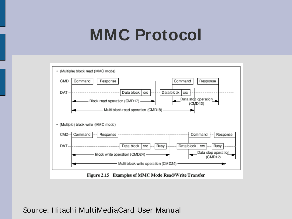#### **MMC Protocol**



Source: Hitachi MultiMediaCard User Manual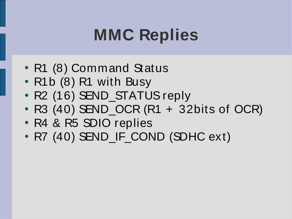# **MMC Replies**

- R1 (8) Command Status
- R1b (8) R1 with Busy
- R2 (16) SEND\_STATUS reply
- $\cdot$  R3 (40) SEND OCR (R1 + 32bits of OCR)
- R4 & R5 SDIO replies
- R7 (40) SEND\_IF\_COND (SDHC ext)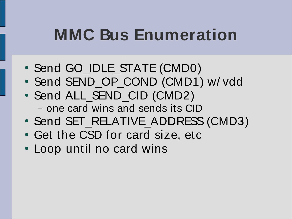## **MMC Bus Enumeration**

- Send GO\_IDLE\_STATE (CMD0)
- Send SEND\_OP\_COND (CMD1) w/ vdd
- Send ALL\_SEND\_CID (CMD2) – one card wins and sends its CID
- Send SET\_RELATIVE\_ADDRESS (CMD3)
- Get the CSD for card size, etc
- Loop until no card wins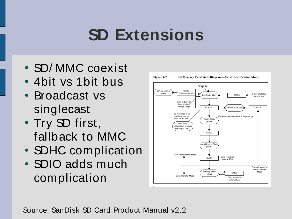# **SD Extensions**

- SD/MMC coexist
- 4bit vs 1bit bus
- Broadcast vs singlecast
- Try SD first, fallback to MMC
- SDHC complication
- SDIO adds much complication



Source: SanDisk SD Card Product Manual v2.2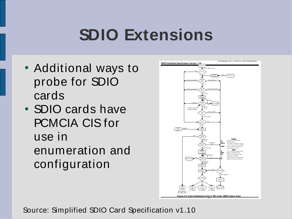## **SDIO Extensions**

- Additional ways to probe for SDIO cards
- SDIO cards have PCMCIA CIS for use in enumeration and configuration



Source: Simplified SDIO Card Specification v1.10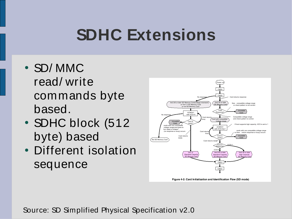# **SDHC Extensions**

- SD/MMC read/ write commands byte based.
- SDHC block (512) byte) based
- Different isolation sequence



Source: SD Simplified Physical Specification v2.0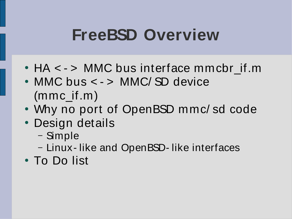#### **FreeBSD Overview**

- HA < > MMC bus interface mmcbr\_if.m
- MMC bus < > MMC/SD device (mmc\_if.m)
- Why no port of OpenBSD mmc/ sd code
- Design details
	- Simple
	- Linux- like and OpenBSD- like interfaces
- To Do list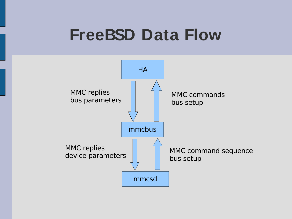#### **FreeBSD Data Flow**

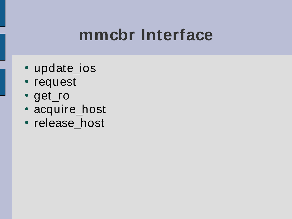#### **mmcbr Interface**

- update\_ios
- request
- get\_ro
- acquire\_host
- release\_host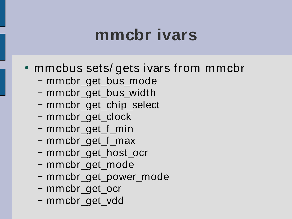#### **mmcbr ivars**

- mmcbus sets/ gets ivars from mmcbr
	- mmcbr\_get\_bus\_mode
	- mmcbr\_get\_bus\_width
	- mmcbr\_get\_chip\_select
	- mmcbr\_get\_clock
	- mmcbr\_get\_f\_min
	- mmcbr\_get\_f\_max
	- mmcbr\_get\_host\_ocr
	- mmcbr\_get\_mode
	- mmcbr\_get\_power\_mode
	- mmcbr\_get\_ocr
	- mmcbr\_get\_vdd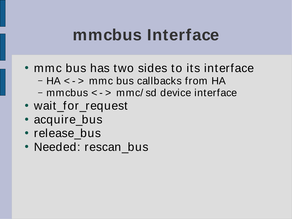#### **mmcbus Interface**

- mmc bus has two sides to its interface – HA < - > mmc bus callbacks from HA – mmcbus < - > mmc/ sd device interface
- wait\_for\_request
- acquire\_bus
- release bus
- Needed: rescan bus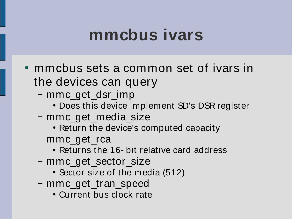#### **mmcbus ivars**

- mmcbus sets a common set of ivars in the devices can query
	- mmc\_get\_dsr\_imp
		- Does this device implement SD's DSR register
	- mmc\_get\_media\_size
		- Return the device's computed capacity
	- mmc\_get\_rca
		- Returns the 16- bit relative card address
	- mmc\_get\_sector\_size
		- Sector size of the media (512)
	- mmc\_get\_tran\_speed
		- Current bus clock rate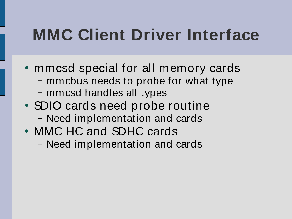## **MMC Client Driver Interface**

- mmcsd special for all memory cards – mmcbus needs to probe for what type – mmcsd handles all types
- SDIO cards need probe routine – Need implementation and cards
- MMC HC and SDHC cards
	- Need implementation and cards